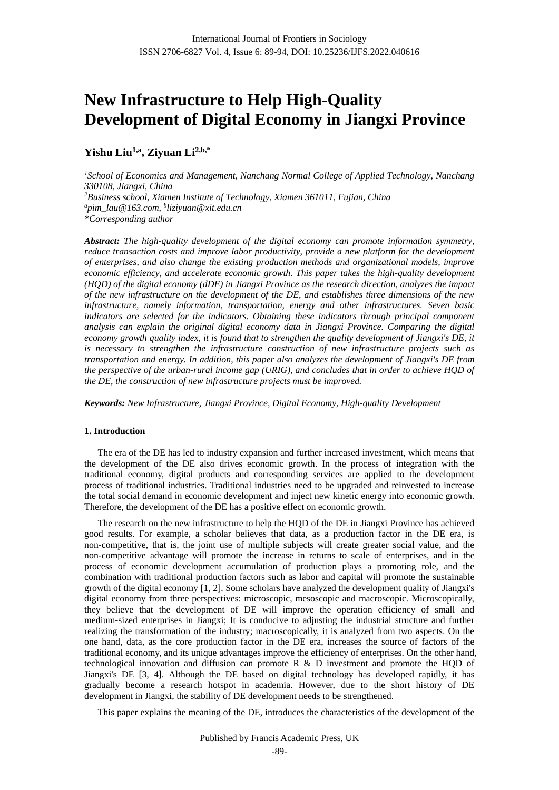# **New Infrastructure to Help High-Quality Development of Digital Economy in Jiangxi Province**

## **Yishu Liu1,a, Ziyuan Li2,b,\***

*<sup>1</sup>School of Economics and Management, Nanchang Normal College of Applied Technology, Nanchang 330108, Jiangxi, China <sup>2</sup>Business school, Xiamen Institute of Technology, Xiamen 361011, Fujian, China <sup>a</sup>pim\_lau@163.com, <sup>b</sup> liziyuan@xit.edu.cn \*Corresponding author*

*Abstract: The high-quality development of the digital economy can promote information symmetry, reduce transaction costs and improve labor productivity, provide a new platform for the development of enterprises, and also change the existing production methods and organizational models, improve economic efficiency, and accelerate economic growth. This paper takes the high-quality development (HQD) of the digital economy (dDE) in Jiangxi Province as the research direction, analyzes the impact of the new infrastructure on the development of the DE, and establishes three dimensions of the new infrastructure, namely information, transportation, energy and other infrastructures. Seven basic*  indicators are selected for the indicators. Obtaining these indicators through principal component *analysis can explain the original digital economy data in Jiangxi Province. Comparing the digital economy growth quality index, it is found that to strengthen the quality development of Jiangxi's DE, it is necessary to strengthen the infrastructure construction of new infrastructure projects such as transportation and energy. In addition, this paper also analyzes the development of Jiangxi's DE from the perspective of the urban-rural income gap (URIG), and concludes that in order to achieve HQD of the DE, the construction of new infrastructure projects must be improved.*

*Keywords: New Infrastructure, Jiangxi Province, Digital Economy, High-quality Development*

## **1. Introduction**

The era of the DE has led to industry expansion and further increased investment, which means that the development of the DE also drives economic growth. In the process of integration with the traditional economy, digital products and corresponding services are applied to the development process of traditional industries. Traditional industries need to be upgraded and reinvested to increase the total social demand in economic development and inject new kinetic energy into economic growth. Therefore, the development of the DE has a positive effect on economic growth.

The research on the new infrastructure to help the HQD of the DE in Jiangxi Province has achieved good results. For example, a scholar believes that data, as a production factor in the DE era, is non-competitive, that is, the joint use of multiple subjects will create greater social value, and the non-competitive advantage will promote the increase in returns to scale of enterprises, and in the process of economic development accumulation of production plays a promoting role, and the combination with traditional production factors such as labor and capital will promote the sustainable growth of the digital economy [1, 2]. Some scholars have analyzed the development quality of Jiangxi's digital economy from three perspectives: microscopic, mesoscopic and macroscopic. Microscopically, they believe that the development of DE will improve the operation efficiency of small and medium-sized enterprises in Jiangxi; It is conducive to adjusting the industrial structure and further realizing the transformation of the industry; macroscopically, it is analyzed from two aspects. On the one hand, data, as the core production factor in the DE era, increases the source of factors of the traditional economy, and its unique advantages improve the efficiency of enterprises. On the other hand, technological innovation and diffusion can promote R & D investment and promote the HQD of Jiangxi's DE [3, 4]. Although the DE based on digital technology has developed rapidly, it has gradually become a research hotspot in academia. However, due to the short history of DE development in Jiangxi, the stability of DE development needs to be strengthened.

This paper explains the meaning of the DE, introduces the characteristics of the development of the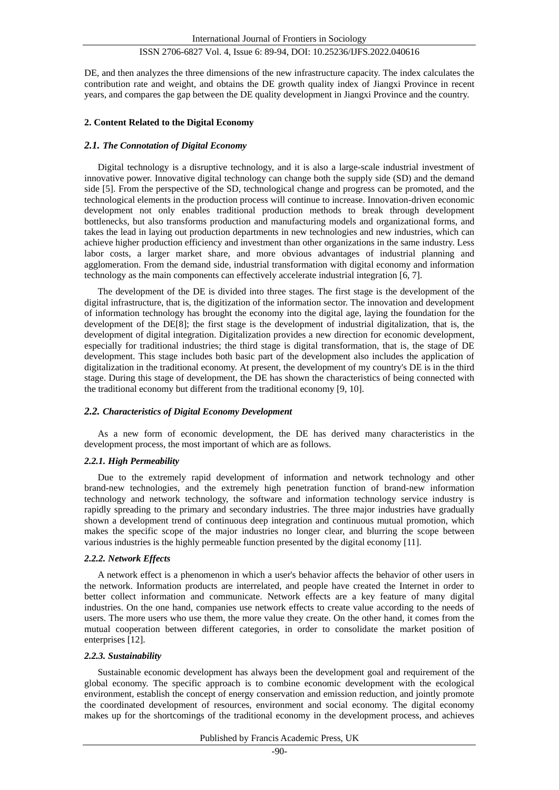DE, and then analyzes the three dimensions of the new infrastructure capacity. The index calculates the contribution rate and weight, and obtains the DE growth quality index of Jiangxi Province in recent years, and compares the gap between the DE quality development in Jiangxi Province and the country.

#### **2. Content Related to the Digital Economy**

#### *2.1. The Connotation of Digital Economy*

Digital technology is a disruptive technology, and it is also a large-scale industrial investment of innovative power. Innovative digital technology can change both the supply side (SD) and the demand side [5]. From the perspective of the SD, technological change and progress can be promoted, and the technological elements in the production process will continue to increase. Innovation-driven economic development not only enables traditional production methods to break through development bottlenecks, but also transforms production and manufacturing models and organizational forms, and takes the lead in laying out production departments in new technologies and new industries, which can achieve higher production efficiency and investment than other organizations in the same industry. Less labor costs, a larger market share, and more obvious advantages of industrial planning and agglomeration. From the demand side, industrial transformation with digital economy and information technology as the main components can effectively accelerate industrial integration [6, 7].

The development of the DE is divided into three stages. The first stage is the development of the digital infrastructure, that is, the digitization of the information sector. The innovation and development of information technology has brought the economy into the digital age, laying the foundation for the development of the DE[8]; the first stage is the development of industrial digitalization, that is, the development of digital integration. Digitalization provides a new direction for economic development, especially for traditional industries; the third stage is digital transformation, that is, the stage of DE development. This stage includes both basic part of the development also includes the application of digitalization in the traditional economy. At present, the development of my country's DE is in the third stage. During this stage of development, the DE has shown the characteristics of being connected with the traditional economy but different from the traditional economy [9, 10].

#### *2.2. Characteristics of Digital Economy Development*

As a new form of economic development, the DE has derived many characteristics in the development process, the most important of which are as follows.

#### *2.2.1. High Permeability*

Due to the extremely rapid development of information and network technology and other brand-new technologies, and the extremely high penetration function of brand-new information technology and network technology, the software and information technology service industry is rapidly spreading to the primary and secondary industries. The three major industries have gradually shown a development trend of continuous deep integration and continuous mutual promotion, which makes the specific scope of the major industries no longer clear, and blurring the scope between various industries is the highly permeable function presented by the digital economy [11].

#### *2.2.2. Network Effects*

A network effect is a phenomenon in which a user's behavior affects the behavior of other users in the network. Information products are interrelated, and people have created the Internet in order to better collect information and communicate. Network effects are a key feature of many digital industries. On the one hand, companies use network effects to create value according to the needs of users. The more users who use them, the more value they create. On the other hand, it comes from the mutual cooperation between different categories, in order to consolidate the market position of enterprises [12].

#### *2.2.3. Sustainability*

Sustainable economic development has always been the development goal and requirement of the global economy. The specific approach is to combine economic development with the ecological environment, establish the concept of energy conservation and emission reduction, and jointly promote the coordinated development of resources, environment and social economy. The digital economy makes up for the shortcomings of the traditional economy in the development process, and achieves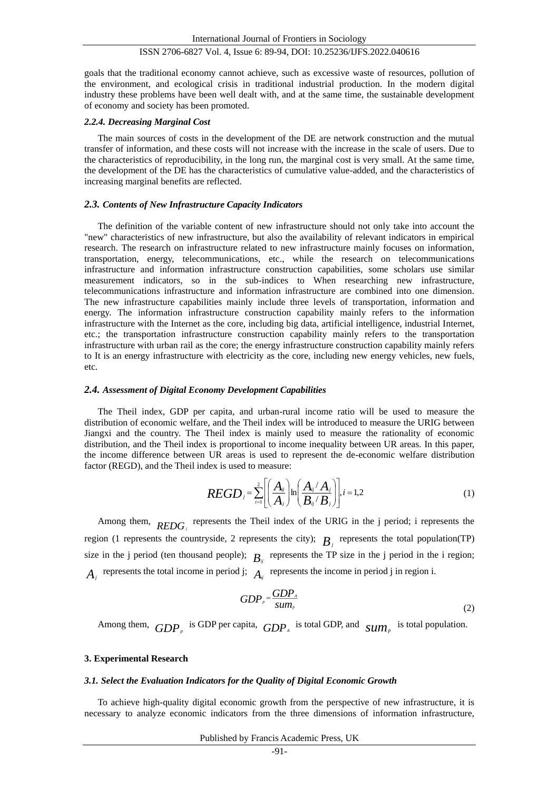goals that the traditional economy cannot achieve, such as excessive waste of resources, pollution of the environment, and ecological crisis in traditional industrial production. In the modern digital industry these problems have been well dealt with, and at the same time, the sustainable development of economy and society has been promoted.

#### *2.2.4. Decreasing Marginal Cost*

The main sources of costs in the development of the DE are network construction and the mutual transfer of information, and these costs will not increase with the increase in the scale of users. Due to the characteristics of reproducibility, in the long run, the marginal cost is very small. At the same time, the development of the DE has the characteristics of cumulative value-added, and the characteristics of increasing marginal benefits are reflected.

#### *2.3. Contents of New Infrastructure Capacity Indicators*

The definition of the variable content of new infrastructure should not only take into account the "new" characteristics of new infrastructure, but also the availability of relevant indicators in empirical research. The research on infrastructure related to new infrastructure mainly focuses on information, transportation, energy, telecommunications, etc., while the research on telecommunications infrastructure and information infrastructure construction capabilities, some scholars use similar measurement indicators, so in the sub-indices to When researching new infrastructure, telecommunications infrastructure and information infrastructure are combined into one dimension. The new infrastructure capabilities mainly include three levels of transportation, information and energy. The information infrastructure construction capability mainly refers to the information infrastructure with the Internet as the core, including big data, artificial intelligence, industrial Internet, etc.; the transportation infrastructure construction capability mainly refers to the transportation infrastructure with urban rail as the core; the energy infrastructure construction capability mainly refers to It is an energy infrastructure with electricity as the core, including new energy vehicles, new fuels, etc.

#### *2.4. Assessment of Digital Economy Development Capabilities*

The Theil index, GDP per capita, and urban-rural income ratio will be used to measure the distribution of economic welfare, and the Theil index will be introduced to measure the URIG between Jiangxi and the country. The Theil index is mainly used to measure the rationality of economic distribution, and the Theil index is proportional to income inequality between UR areas. In this paper, the income difference between UR areas is used to represent the de-economic welfare distribution factor (REGD), and the Theil index is used to measure:

$$
REGD_j = \sum_{i=1}^{2} \left[ \left( \frac{A_{ij}}{A_j} \right) \ln \left( \frac{A_{ij}/A_j}{B_{ij}/B_j} \right) \right], i = 1, 2
$$
 (1)

Among them,  $REDG_j$  represents the Theil index of the URIG in the j period; i represents the region (1 represents the countryside, 2 represents the city);  $B_j$  represents the total population(TP) size in the j period (ten thousand people);  $B_{ij}$  represents the TP size in the j period in the i region;  $A_j$  represents the total income in period j;  $A_{ij}$  represents the income in period j in region i.

$$
GDP_{p} = \frac{GDP_{A}}{sum_{p}}
$$
 (2)

Among them,  $GDP_p$  is GDP per capita,  $GDP_a$  is total GDP, and  $sum_p$  is total population.

#### **3. Experimental Research**

#### *3.1. Select the Evaluation Indicators for the Quality of Digital Economic Growth*

To achieve high-quality digital economic growth from the perspective of new infrastructure, it is necessary to analyze economic indicators from the three dimensions of information infrastructure,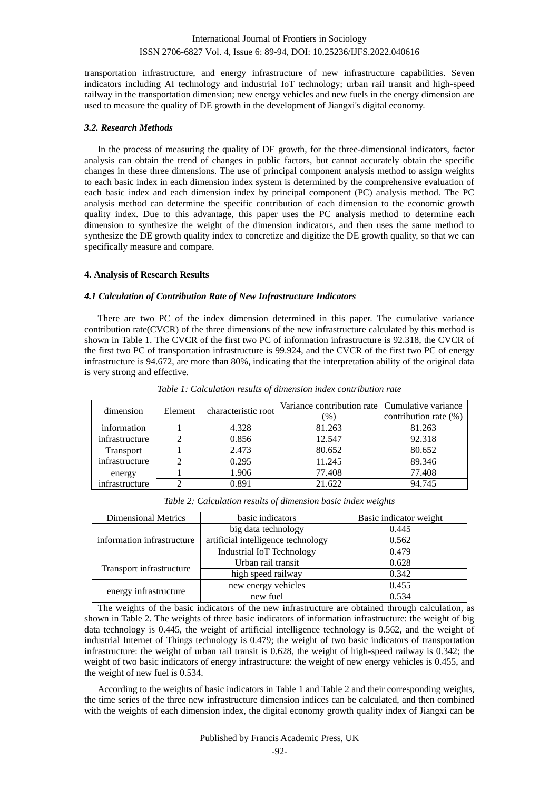transportation infrastructure, and energy infrastructure of new infrastructure capabilities. Seven indicators including AI technology and industrial IoT technology; urban rail transit and high-speed railway in the transportation dimension; new energy vehicles and new fuels in the energy dimension are used to measure the quality of DE growth in the development of Jiangxi's digital economy.

#### *3.2. Research Methods*

In the process of measuring the quality of DE growth, for the three-dimensional indicators, factor analysis can obtain the trend of changes in public factors, but cannot accurately obtain the specific changes in these three dimensions. The use of principal component analysis method to assign weights to each basic index in each dimension index system is determined by the comprehensive evaluation of each basic index and each dimension index by principal component (PC) analysis method. The PC analysis method can determine the specific contribution of each dimension to the economic growth quality index. Due to this advantage, this paper uses the PC analysis method to determine each dimension to synthesize the weight of the dimension indicators, and then uses the same method to synthesize the DE growth quality index to concretize and digitize the DE growth quality, so that we can specifically measure and compare.

#### **4. Analysis of Research Results**

#### *4.1 Calculation of Contribution Rate of New Infrastructure Indicators*

There are two PC of the index dimension determined in this paper. The cumulative variance contribution rate(CVCR) of the three dimensions of the new infrastructure calculated by this method is shown in Table 1. The CVCR of the first two PC of information infrastructure is 92.318, the CVCR of the first two PC of transportation infrastructure is 99.924, and the CVCR of the first two PC of energy infrastructure is 94.672, are more than 80%, indicating that the interpretation ability of the original data is very strong and effective.

| dimension        | Element | characteristic root | Variance contribution rate Cumulative variance<br>$\frac{9}{6}$ | contribution rate (%) |
|------------------|---------|---------------------|-----------------------------------------------------------------|-----------------------|
| information      |         | 4.328               | 81.263                                                          | 81.263                |
| infrastructure   |         | 0.856               | 12.547                                                          | 92.318                |
| <b>Transport</b> |         | 2.473               | 80.652                                                          | 80.652                |
| infrastructure   |         | 0.295               | 11.245                                                          | 89.346                |
| energy           |         | 1.906               | 77.408                                                          | 77.408                |
| infrastructure   |         | 0.891               | 21.622                                                          | 94.745                |

*Table 1: Calculation results of dimension index contribution rate*

| <b>Dimensional Metrics</b> | basic indicators                   | Basic indicator weight |
|----------------------------|------------------------------------|------------------------|
|                            | big data technology                | 0.445                  |
| information infrastructure | artificial intelligence technology | 0.562                  |
|                            | <b>Industrial IoT Technology</b>   | 0.479                  |
|                            | Urban rail transit                 | 0.628                  |
| Transport infrastructure   | high speed railway                 | 0.342                  |
|                            | new energy vehicles                | 0.455                  |
| energy infrastructure      | new fuel                           | 0.534                  |

*Table 2: Calculation results of dimension basic index weights*

The weights of the basic indicators of the new infrastructure are obtained through calculation, as shown in Table 2. The weights of three basic indicators of information infrastructure: the weight of big data technology is 0.445, the weight of artificial intelligence technology is 0.562, and the weight of industrial Internet of Things technology is 0.479; the weight of two basic indicators of transportation infrastructure: the weight of urban rail transit is 0.628, the weight of high-speed railway is 0.342; the weight of two basic indicators of energy infrastructure: the weight of new energy vehicles is 0.455, and the weight of new fuel is 0.534.

According to the weights of basic indicators in Table 1 and Table 2 and their corresponding weights, the time series of the three new infrastructure dimension indices can be calculated, and then combined with the weights of each dimension index, the digital economy growth quality index of Jiangxi can be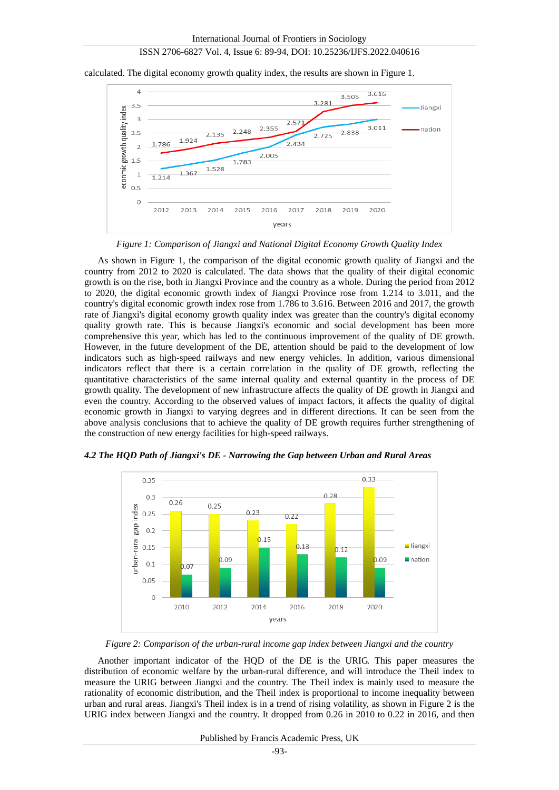calculated. The digital economy growth quality index, the results are shown in Figure 1.



*Figure 1: Comparison of Jiangxi and National Digital Economy Growth Quality Index*

As shown in Figure 1, the comparison of the digital economic growth quality of Jiangxi and the country from 2012 to 2020 is calculated. The data shows that the quality of their digital economic growth is on the rise, both in Jiangxi Province and the country as a whole. During the period from 2012 to 2020, the digital economic growth index of Jiangxi Province rose from 1.214 to 3.011, and the country's digital economic growth index rose from 1.786 to 3.616. Between 2016 and 2017, the growth rate of Jiangxi's digital economy growth quality index was greater than the country's digital economy quality growth rate. This is because Jiangxi's economic and social development has been more comprehensive this year, which has led to the continuous improvement of the quality of DE growth. However, in the future development of the DE, attention should be paid to the development of low indicators such as high-speed railways and new energy vehicles. In addition, various dimensional indicators reflect that there is a certain correlation in the quality of DE growth, reflecting the quantitative characteristics of the same internal quality and external quantity in the process of DE growth quality. The development of new infrastructure affects the quality of DE growth in Jiangxi and even the country. According to the observed values of impact factors, it affects the quality of digital economic growth in Jiangxi to varying degrees and in different directions. It can be seen from the above analysis conclusions that to achieve the quality of DE growth requires further strengthening of the construction of new energy facilities for high-speed railways.



*4.2 The HQD Path of Jiangxi's DE - Narrowing the Gap between Urban and Rural Areas*

*Figure 2: Comparison of the urban-rural income gap index between Jiangxi and the country*

Another important indicator of the HQD of the DE is the URIG. This paper measures the distribution of economic welfare by the urban-rural difference, and will introduce the Theil index to measure the URIG between Jiangxi and the country. The Theil index is mainly used to measure the rationality of economic distribution, and the Theil index is proportional to income inequality between urban and rural areas. Jiangxi's Theil index is in a trend of rising volatility, as shown in Figure 2 is the URIG index between Jiangxi and the country. It dropped from 0.26 in 2010 to 0.22 in 2016, and then